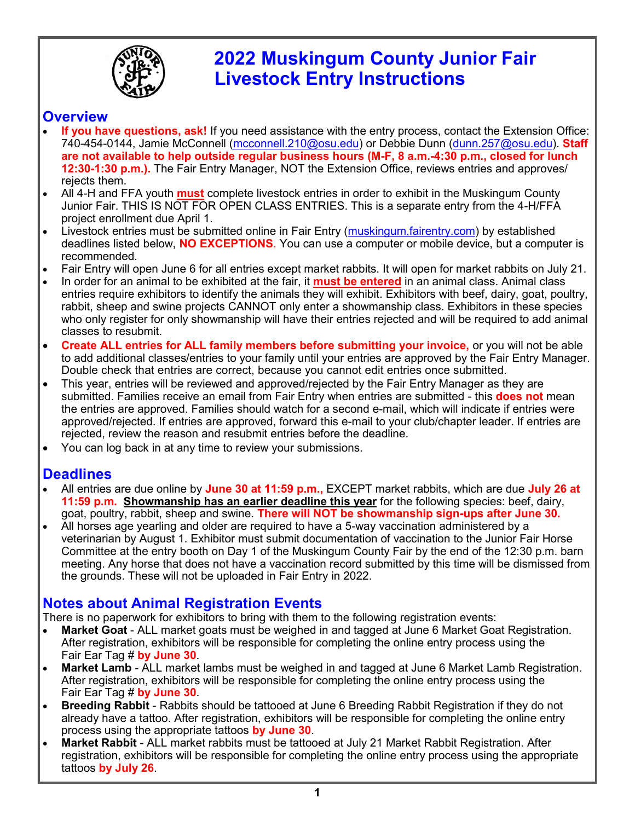

# **2022 Muskingum County Junior Fair Livestock Entry Instructions**

#### **Overview**

- **If you have questions, ask!** If you need assistance with the entry process, contact the Extension Office: 740-454-0144, Jamie McConnell ([mcconnell.210@osu.edu\)](mailto:mcconnell.210@osu.edu?subject=Fair%20Entry%20Help) or Debbie Dunn ([dunn.257@osu.edu\).](mailto:dunn.257@osu.edu?subject=Fair%20Entry%20Help) **Staff are not available to help outside regular business hours (M-F, 8 a.m.-4:30 p.m., closed for lunch 12:30-1:30 p.m.).** The Fair Entry Manager, NOT the Extension Office, reviews entries and approves/ rejects them.
- All 4-H and FFA youth **must** complete livestock entries in order to exhibit in the Muskingum County Junior Fair. THIS IS NOT FOR OPEN CLASS ENTRIES. This is a separate entry from the 4-H/FFA project enrollment due April 1.
- Livestock entries must be submitted online in Fair Entry ([muskingum.fairentry.com\)](https://muskingum.fairentry.com) by established deadlines listed below, **NO EXCEPTIONS**. You can use a computer or mobile device, but a computer is recommended.
- Fair Entry will open June 6 for all entries except market rabbits. It will open for market rabbits on July 21.
- In order for an animal to be exhibited at the fair, it **must be entered** in an animal class. Animal class entries require exhibitors to identify the animals they will exhibit. Exhibitors with beef, dairy, goat, poultry, rabbit, sheep and swine projects CANNOT only enter a showmanship class. Exhibitors in these species who only register for only showmanship will have their entries rejected and will be required to add animal classes to resubmit.
- **Create ALL entries for ALL family members before submitting your invoice,** or you will not be able to add additional classes/entries to your family until your entries are approved by the Fair Entry Manager. Double check that entries are correct, because you cannot edit entries once submitted.
- This year, entries will be reviewed and approved/rejected by the Fair Entry Manager as they are submitted. Families receive an email from Fair Entry when entries are submitted - this **does not** mean the entries are approved. Families should watch for a second e-mail, which will indicate if entries were approved/rejected. If entries are approved, forward this e-mail to your club/chapter leader. If entries are rejected, review the reason and resubmit entries before the deadline.
- You can log back in at any time to review your submissions.

#### **Deadlines**

- All entries are due online by **June 30 at 11:59 p.m.,** EXCEPT market rabbits, which are due **July 26 at 11:59 p.m. Showmanship has an earlier deadline this year** for the following species: beef, dairy, goat, poultry, rabbit, sheep and swine. **There will NOT be showmanship sign-ups after June 30.**
- All horses age yearling and older are required to have a 5-way vaccination administered by a veterinarian by August 1. Exhibitor must submit documentation of vaccination to the Junior Fair Horse Committee at the entry booth on Day 1 of the Muskingum County Fair by the end of the 12:30 p.m. barn meeting. Any horse that does not have a vaccination record submitted by this time will be dismissed from the grounds. These will not be uploaded in Fair Entry in 2022.

### **Notes about Animal Registration Events**

There is no paperwork for exhibitors to bring with them to the following registration events:

- **Market Goat**  ALL market goats must be weighed in and tagged at June 6 Market Goat Registration. After registration, exhibitors will be responsible for completing the online entry process using the Fair Ear Tag # **by June 30**.
- **Market Lamb**  ALL market lambs must be weighed in and tagged at June 6 Market Lamb Registration. After registration, exhibitors will be responsible for completing the online entry process using the Fair Ear Tag # **by June 30**.
- **Breeding Rabbit**  Rabbits should be tattooed at June 6 Breeding Rabbit Registration if they do not already have a tattoo. After registration, exhibitors will be responsible for completing the online entry process using the appropriate tattoos **by June 30**.
- **Market Rabbit**  ALL market rabbits must be tattooed at July 21 Market Rabbit Registration. After registration, exhibitors will be responsible for completing the online entry process using the appropriate tattoos **by July 26**.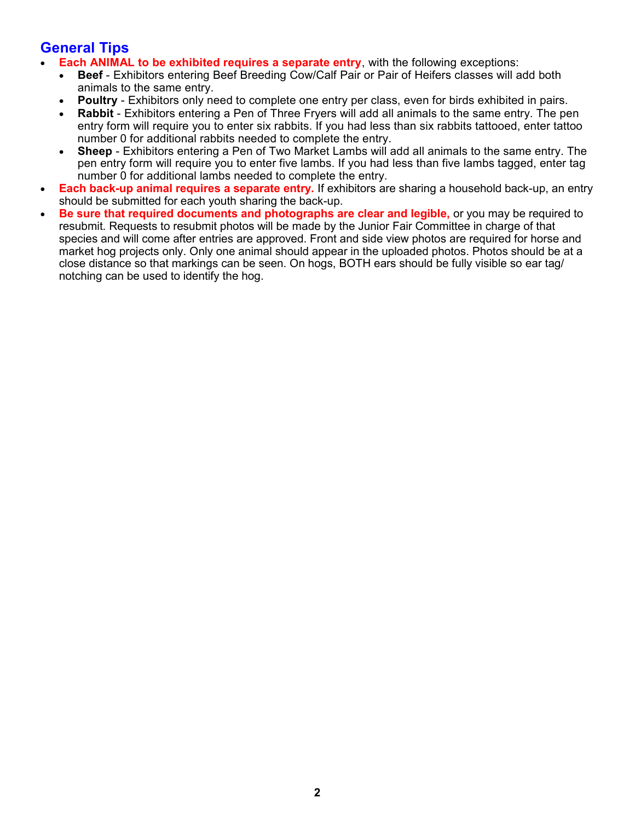#### **General Tips**

- **Each ANIMAL to be exhibited requires a separate entry**, with the following exceptions:
	- **Beef**  Exhibitors entering Beef Breeding Cow/Calf Pair or Pair of Heifers classes will add both animals to the same entry.
	- **Poultry** Exhibitors only need to complete one entry per class, even for birds exhibited in pairs.
	- **Rabbit**  Exhibitors entering a Pen of Three Fryers will add all animals to the same entry. The pen entry form will require you to enter six rabbits. If you had less than six rabbits tattooed, enter tattoo number 0 for additional rabbits needed to complete the entry.
	- **Sheep** Exhibitors entering a Pen of Two Market Lambs will add all animals to the same entry. The pen entry form will require you to enter five lambs. If you had less than five lambs tagged, enter tag number 0 for additional lambs needed to complete the entry.
- **Each back-up animal requires a separate entry.** If exhibitors are sharing a household back-up, an entry should be submitted for each youth sharing the back-up.
- **Be sure that required documents and photographs are clear and legible,** or you may be required to resubmit. Requests to resubmit photos will be made by the Junior Fair Committee in charge of that species and will come after entries are approved. Front and side view photos are required for horse and market hog projects only. Only one animal should appear in the uploaded photos. Photos should be at a close distance so that markings can be seen. On hogs, BOTH ears should be fully visible so ear tag/ notching can be used to identify the hog.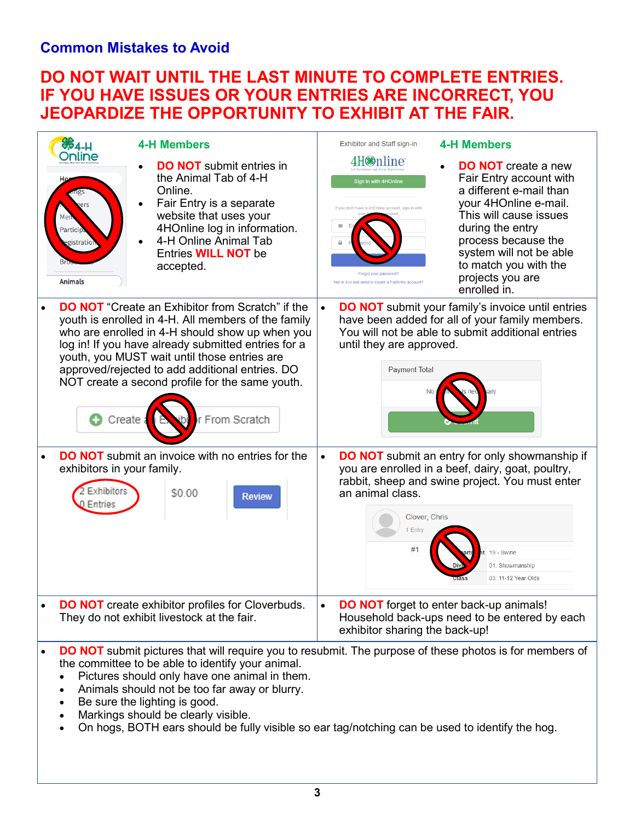### **Common Mistakes to Avoid**

## **DO NOT WAIT UNTIL THE LAST MINUTE TO COMPLETE ENTRIES. IF YOU HAVE ISSUES OR YOUR ENTRIES ARE INCORRECT, YOU JEOPARDIZE THE OPPORTUNITY TO EXHIBIT AT THE FAIR.**

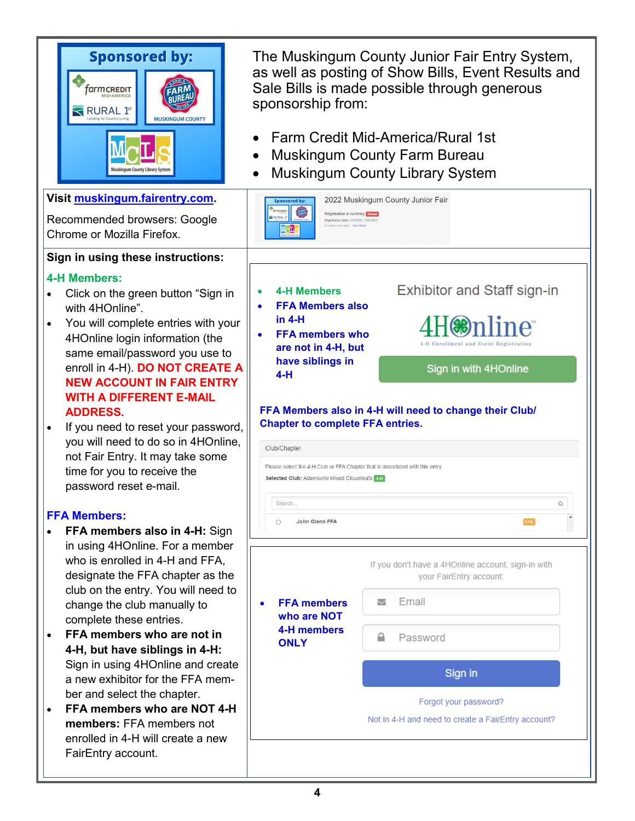| <b>Sponsored by:</b><br>'armcredit<br><b>RURAL</b> 1 <sup>st</sup><br><b>MUSKINGUM COUNTY</b><br>ngum County Library System | The Muskingum County Junior Fair Entry System,<br>as well as posting of Show Bills, Event Results and<br>Sale Bills is made possible through generous<br>sponsorship from:<br>Farm Credit Mid-America/Rural 1st<br><b>Muskingum County Farm Bureau</b><br><b>Muskingum County Library System</b> |                                                    |  |
|-----------------------------------------------------------------------------------------------------------------------------|--------------------------------------------------------------------------------------------------------------------------------------------------------------------------------------------------------------------------------------------------------------------------------------------------|----------------------------------------------------|--|
| Visit muskingum.fairentry.com.                                                                                              | <b>Sponsored by:</b>                                                                                                                                                                                                                                                                             | 2022 Muskingum County Junior Fair                  |  |
| Recommended browsers: Google<br>Chrome or Mozilla Firefox.                                                                  | Registration is currently <b>Closed</b><br>Registration dates: 6/5/2022 - 7/26/2022<br>Exceptions may apply View Deta                                                                                                                                                                            |                                                    |  |
| Sign in using these instructions:                                                                                           |                                                                                                                                                                                                                                                                                                  |                                                    |  |
| <b>4-H Members:</b>                                                                                                         | <b>4-H Members</b>                                                                                                                                                                                                                                                                               |                                                    |  |
| Click on the green button "Sign in<br>with 4HOnline".                                                                       | $\bullet$<br><b>FFA Members also</b>                                                                                                                                                                                                                                                             | <b>Exhibitor and Staff sign-in</b>                 |  |
| You will complete entries with your<br>$\bullet$                                                                            | in $4-H$<br><b>FFA members who</b><br>$\bullet$                                                                                                                                                                                                                                                  |                                                    |  |
| 4HOnline login information (the<br>same email/password you use to                                                           | are not in 4-H, but                                                                                                                                                                                                                                                                              |                                                    |  |
| enroll in 4-H). DO NOT CREATE A<br><b>NEW ACCOUNT IN FAIR ENTRY</b>                                                         | have siblings in<br>Sign in with 4HOnline<br>$4-H$                                                                                                                                                                                                                                               |                                                    |  |
| <b>WITH A DIFFERENT E-MAIL</b>                                                                                              |                                                                                                                                                                                                                                                                                                  |                                                    |  |
| <b>ADDRESS.</b><br>If you need to reset your password,<br>$\bullet$                                                         | FFA Members also in 4-H will need to change their Club/<br><b>Chapter to complete FFA entries.</b>                                                                                                                                                                                               |                                                    |  |
| you will need to do so in 4HOnline,                                                                                         | Club/Chapter                                                                                                                                                                                                                                                                                     |                                                    |  |
| not Fair Entry. It may take some<br>time for you to receive the                                                             | Please select the 4-H Club or FFA Chapter that is associated with this entry.<br>Selected Club: Adamsville Mixed Cloverleafs 4-H                                                                                                                                                                 |                                                    |  |
| password reset e-mail.                                                                                                      |                                                                                                                                                                                                                                                                                                  |                                                    |  |
| <b>FFA Members:</b>                                                                                                         | Search<br>John Glenn FFA<br>$\circ$<br>FFA                                                                                                                                                                                                                                                       |                                                    |  |
| FFA members also in 4-H: Sign<br>in using 4HOnline. For a member                                                            |                                                                                                                                                                                                                                                                                                  |                                                    |  |
| who is enrolled in 4-H and FFA,                                                                                             |                                                                                                                                                                                                                                                                                                  | If you don't have a 4HOnline account, sign-in with |  |
| designate the FFA chapter as the<br>club on the entry. You will need to                                                     |                                                                                                                                                                                                                                                                                                  | your FairEntry account:                            |  |
| change the club manually to<br>complete these entries.                                                                      | <b>FFA</b> members<br>who are NOT                                                                                                                                                                                                                                                                | Email<br>▽                                         |  |
| FFA members who are not in<br>$\bullet$                                                                                     | 4-H members<br><b>ONLY</b>                                                                                                                                                                                                                                                                       | ≙<br>Password                                      |  |
| 4-H, but have siblings in 4-H:<br>Sign in using 4HOnline and create                                                         |                                                                                                                                                                                                                                                                                                  |                                                    |  |
| a new exhibitor for the FFA mem-                                                                                            |                                                                                                                                                                                                                                                                                                  | Sign in                                            |  |
| ber and select the chapter.<br>FFA members who are NOT 4-H<br>$\bullet$                                                     |                                                                                                                                                                                                                                                                                                  | Forgot your password?                              |  |
| members: FFA members not<br>enrolled in 4-H will create a new                                                               | Not in 4-H and need to create a FairEntry account?                                                                                                                                                                                                                                               |                                                    |  |
| FairEntry account.                                                                                                          |                                                                                                                                                                                                                                                                                                  |                                                    |  |
|                                                                                                                             |                                                                                                                                                                                                                                                                                                  |                                                    |  |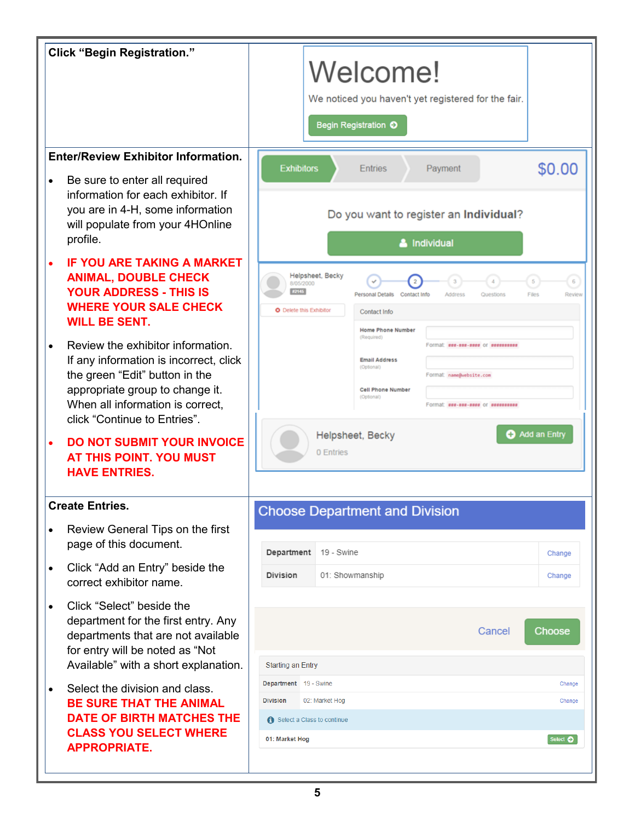| <b>Click "Begin Registration."</b>                                                                                                                                                                                                |                                                                                                                                                                                                                                              |  |  |
|-----------------------------------------------------------------------------------------------------------------------------------------------------------------------------------------------------------------------------------|----------------------------------------------------------------------------------------------------------------------------------------------------------------------------------------------------------------------------------------------|--|--|
|                                                                                                                                                                                                                                   | Welcome!<br>We noticed you haven't yet registered for the fair.<br>Begin Registration O                                                                                                                                                      |  |  |
| <b>Enter/Review Exhibitor Information.</b><br>Be sure to enter all required<br>$\bullet$                                                                                                                                          | \$0.00<br><b>Exhibitors</b><br>Payment<br><b>Entries</b>                                                                                                                                                                                     |  |  |
| information for each exhibitor. If<br>you are in 4-H, some information<br>will populate from your 4HOnline<br>profile.                                                                                                            | Do you want to register an Individual?<br>& Individual                                                                                                                                                                                       |  |  |
| <b>IF YOU ARE TAKING A MARKET</b><br>$\bullet$<br><b>ANIMAL, DOUBLE CHECK</b><br><b>YOUR ADDRESS - THIS IS</b><br><b>WHERE YOUR SALE CHECK</b><br><b>WILL BE SENT.</b>                                                            | Helpsheet, Becky<br>6<br>$\overline{\mathbf{2}}$<br>3<br>$\overline{5}$<br>8/05/2000<br>#2145<br>Files<br>Review<br>Personal Details<br>Contact Info<br>Address<br>Questions<br>O Delete this Exhibitor<br>Contact Info<br>Home Phone Number |  |  |
| Review the exhibitor information.<br>$\bullet$<br>If any information is incorrect, click<br>the green "Edit" button in the<br>appropriate group to change it.<br>When all information is correct,<br>click "Continue to Entries". | (Required)<br>Format: ###-###-#### or ##########<br><b>Email Address</b><br>(Optional)<br>Format: name@website.com<br><b>Cell Phone Number</b><br>(Optional)<br>Format: ess-ses-sess or sessesses                                            |  |  |
| <b>DO NOT SUBMIT YOUR INVOICE</b><br>$\bullet$<br>AT THIS POINT. YOU MUST<br><b>HAVE ENTRIES.</b>                                                                                                                                 | <b>Add an Entry</b><br>Helpsheet, Becky<br>0 Entries                                                                                                                                                                                         |  |  |
| <b>Create Entries.</b>                                                                                                                                                                                                            | <b>Choose Department and Division</b>                                                                                                                                                                                                        |  |  |
| Review General Tips on the first<br>$\bullet$<br>page of this document.                                                                                                                                                           | Department<br>19 - Swine<br>Change                                                                                                                                                                                                           |  |  |
| Click "Add an Entry" beside the<br>$\bullet$<br>correct exhibitor name.                                                                                                                                                           | 01: Showmanship<br><b>Division</b><br>Change                                                                                                                                                                                                 |  |  |
| Click "Select" beside the<br>$\bullet$<br>department for the first entry. Any<br>departments that are not available<br>for entry will be noted as "Not<br>Available" with a short explanation.                                    | Choose<br>Cancel<br><b>Starting an Entry</b>                                                                                                                                                                                                 |  |  |
| Select the division and class.<br>$\bullet$                                                                                                                                                                                       | Department 19 - Swine<br>Change<br><b>Division</b>                                                                                                                                                                                           |  |  |
| <b>BE SURE THAT THE ANIMAL</b><br><b>DATE OF BIRTH MATCHES THE</b>                                                                                                                                                                | 02: Market Hog<br>Change<br>Select a Class to continue                                                                                                                                                                                       |  |  |
| <b>CLASS YOU SELECT WHERE</b><br><b>APPROPRIATE.</b>                                                                                                                                                                              | Select $\bullet$<br>01: Market Hog                                                                                                                                                                                                           |  |  |
|                                                                                                                                                                                                                                   |                                                                                                                                                                                                                                              |  |  |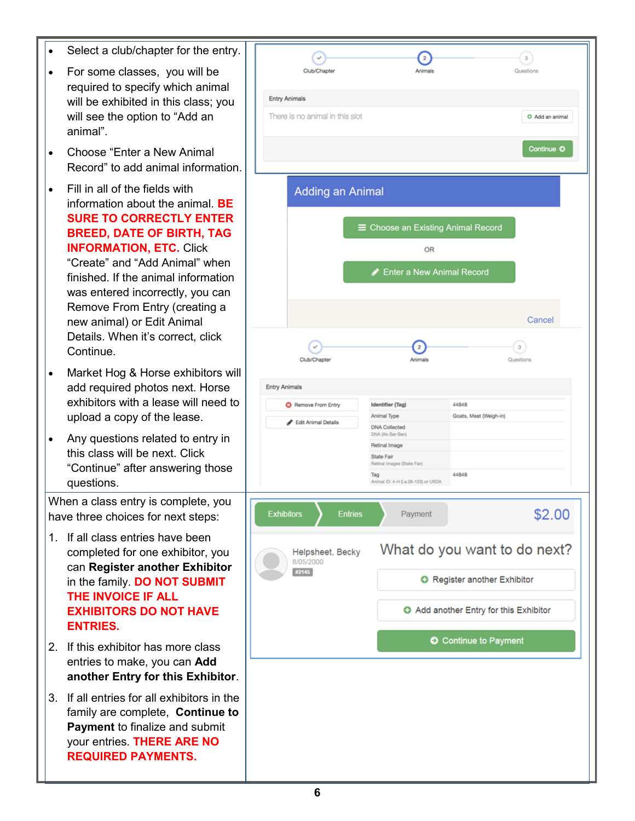